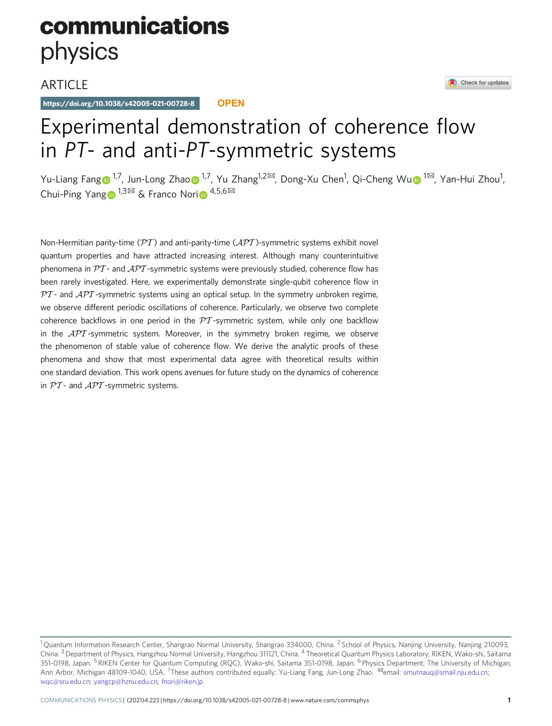# communications physics

### **ARTICLE**

https://doi.org/10.1038/s42005-021-00728-8 **OPEN**

## Experimental demonstration of coherence flow in PT- and anti-PT-symmetric systems

Yu-Lian[g](http://orcid.org/0000-0001-6616-5922) Fang⊕<sup>[1](http://orcid.org/0000-0003-1402-6415),7</sup>, Jun-L[o](http://orcid.org/0000-0003-1402-6415)ng Zhao⊕<s[u](http://orcid.org/0000-0003-0168-0258)p>1,7</sup>, Yu Zhang<sup>1,2⊠</sup>, Dong-Xu Chen<sup>1</sup>, Qi-Cheng Wu⊕<sup>1⊠</sup>, Yan-Hui Zhou<sup>1</sup>, Chui-Pin[g](http://orcid.org/0000-0001-9407-8877) Yang  $1,3\frac{1}{\infty}$  $1,3\frac{1}{\infty}$  $1,3\frac{1}{\infty}$  & Franco Nori  $\bullet$  4,5,6 $\frac{1}{\infty}$ 

Non-Hermitian parity-time ( $\mathcal{P}T$ ) and anti-parity-time ( $\mathcal{A}\mathcal{P}T$ )-symmetric systems exhibit novel quantum properties and have attracted increasing interest. Although many counterintuitive phenomena in  $PT$  - and  $APT$  -symmetric systems were previously studied, coherence flow has been rarely investigated. Here, we experimentally demonstrate single-qubit coherence flow in  $PT$ - and  $APT$ -symmetric systems using an optical setup. In the symmetry unbroken regime, we observe different periodic oscillations of coherence. Particularly, we observe two complete coherence backflows in one period in the  $PT$ -symmetric system, while only one backflow in the  $\mathcal{APT}$ -symmetric system. Moreover, in the symmetry broken regime, we observe the phenomenon of stable value of coherence flow. We derive the analytic proofs of these phenomena and show that most experimental data agree with theoretical results within one standard deviation. This work opens avenues for future study on the dynamics of coherence in  $PT$ - and  $APT$ -symmetric systems.

Check for updates

<sup>&</sup>lt;sup>1</sup> Quantum Information Research Center, Shangrao Normal University, Shangrao 334000, China. <sup>2</sup> School of Physics, Nanjing University, Nanjing 210093, China. 3Department of Physics, Hangzhou Normal University, Hangzhou 311121, China. <sup>4</sup> Theoretical Quantum Physics Laboratory, RIKEN, Wako-shi, Saitama 351-0198, Japan. <sup>5</sup> RIKEN Center for Quantum Computing (ROC), Wako-shi, Saitama 351-0198, Japan. <sup>6</sup> Physics Department, The University of Michigan, Ann Arbor, Michigan 48109-1040, USA. <sup>7</sup>These authors contributed equally: Yu-Liang Fang, Jun-Long Zhao. <sup>⊠</sup>email: [smutnauq@smail.nju.edu.cn](mailto:smutnauq@smail.nju.edu.cn); [wqc@sru.edu.cn;](mailto:wqc@sru.edu.cn) [yangcp@hznu.edu.cn](mailto:yangcp@hznu.edu.cn); [fnori@riken.jp](mailto:fnori@riken.jp)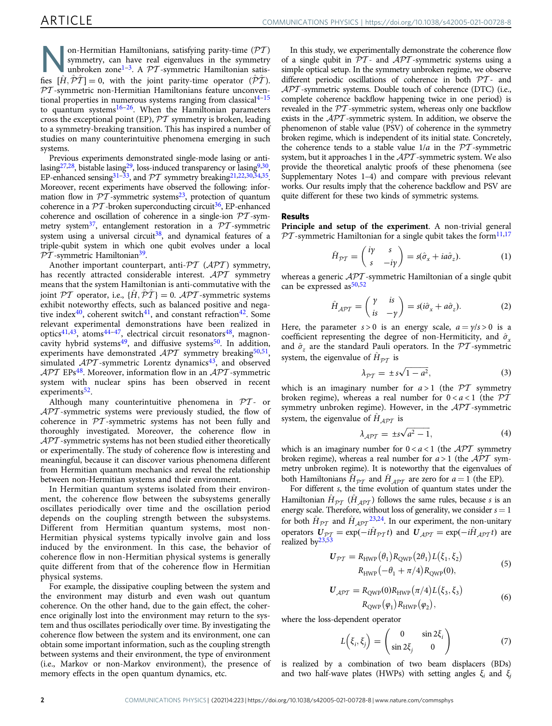on-Hermitian Hamiltonians, satisfying parity-time ( $\overline{PT}$  )<br>symmetry, can have real eigenvalues in the symmetric<br>unbroken zone<sup>1–[3](#page-4-0)</sup>. A  $\overline{PT}$ -symmetric Hamiltonian satis-<br> $\hat{TP}$ symmetry, can have real eigenvalues in the symmetry fies  $[\hat{H}, \hat{P}\hat{T}] = 0$ , with the joint parity-time operator  $(\hat{P}\hat{T})$ .<br> $\mathcal{PT}$ -symmetric non-Hermitian Hamiltonians feature unconventhe  $[n, P1] = 0$ , with the joint partly-time operator  $(P1)$ .<br>  $PT$ -symmetric non-Hermitian Hamiltonians feature unconventional properties in numerous systems ranging from classical $4-15$  $4-15$  $4-15$ to quantum systems $16-26$  $16-26$ . When the Hamiltonian parameters cross the exceptional point (EP),  $\mathcal{P}\mathcal{T}$  symmetry is broken, leading to a symmetry-breaking transition. This has inspired a number of studies on many counterintuitive phenomena emerging in such systems.

Previous experiments demonstrated single-mode lasing or antilasing $27,28$ , bistable lasing $29$ , loss-induced transparency or lasing $9,30$ , EP-enhanced sensing<sup>[31](#page-5-0)–[33](#page-5-0)</sup>, and  $\mathcal{PT}$  symmetry breaking<sup>21,22,30,34,35</sup>. Moreover, recent experiments have observed the following: information flow in  $PT$ -symmetric systems<sup>23</sup>, protection of quantum coherence in a  $\mathcal{P}\mathcal{T}$ -broken superconducting circuit<sup>36</sup>, EP-enhanced coherence and oscillation of coherence in a single-ion  $PT$ -symmetry system<sup>37</sup>, entanglement restoration in a  $\mathcal{P}T$ -symmetric system using a universal circuit<sup>38</sup>, and dynamical features of a triple-qubit system in which one qubit evolves under a local  $PT$ -symmetric Hamiltonian<sup>39</sup>.

Another important counterpart, anti- $\mathcal{PT}$  (APT) symmetry, has recently attracted considerable interest. APT symmetry means that the system Hamiltonian is anti-commutative with the joint PT operator, i.e.,  $\{\hat{H}, \hat{P}\hat{T}\} = 0$ .  $\mathcal{A}PT$ -symmetric systems joint  $\mathcal{PT}$  operator, i.e.,  $\{H, \mathcal{PT}\}=0$ .  $\mathcal{APT}$ -symmetric systems exhibit noteworthy effects, such as balanced positive and negative index<sup>40</sup>, coherent switch<sup>41</sup>, and constant refraction<sup>42</sup>. Some relevant experimental demonstrations have been realized in optics<sup>41,43</sup>, atoms<sup>[44](#page-5-0)-47</sup>, electrical circuit resonators<sup>48</sup>, magnoncavity hybrid systems<sup>49</sup>, and diffusive systems<sup>50</sup>. In addition, experiments have demonstrated  $\mathcal{APT}$  symmetry breaking<sup>50,51</sup>, simulated  $\mathcal{APT}$ -symmetric Lorentz dynamics<sup>[43](#page-5-0)</sup>, and observed  $\mathcal{APT}$  EPs<sup>48</sup>. Moreover, information flow in an  $\mathcal{APT}$ -symmetric system with nuclear spins has been observed in recent experiments<sup>52</sup>.

Although many counterintuitive phenomena in  $PT$ - or  $\mathcal{APT}$ -symmetric systems were previously studied, the flow of coherence in  $PT$ -symmetric systems has not been fully and thoroughly investigated. Moreover, the coherence flow in  $\mathcal{APT}$ -symmetric systems has not been studied either theoretically or experimentally. The study of coherence flow is interesting and meaningful, because it can discover various phenomena different from Hermitian quantum mechanics and reveal the relationship between non-Hermitian systems and their environment.

In Hermitian quantum systems isolated from their environment, the coherence flow between the subsystems generally oscillates periodically over time and the oscillation period depends on the coupling strength between the subsystems. Different from Hermitian quantum systems, most non-Hermitian physical systems typically involve gain and loss induced by the environment. In this case, the behavior of coherence flow in non-Hermitian physical systems is generally quite different from that of the coherence flow in Hermitian physical systems.

For example, the dissipative coupling between the system and the environment may disturb and even wash out quantum coherence. On the other hand, due to the gain effect, the coherence originally lost into the environment may return to the system and thus oscillates periodically over time. By investigating the coherence flow between the system and its environment, one can obtain some important information, such as the coupling strength between systems and their environment, the type of environment (i.e., Markov or non-Markov environment), the presence of memory effects in the open quantum dynamics, etc.

In this study, we experimentally demonstrate the coherence flow of a single qubit in  $\mathcal{PT}$ - and  $\mathcal{APT}$ -symmetric systems using a simple optical setup. In the symmetry unbroken regime, we observe different periodic oscillations of coherence in both  $\mathcal{P}\mathcal{T}$ - and  $\mathcal{API}$ -symmetric systems. Double touch of coherence (DTC) (i.e., complete coherence backflow happening twice in one period) is revealed in the PT -symmetric system, whereas only one backflow exists in the  $\mathcal{A}\mathcal{P}\mathcal{T}$ -symmetric system. In addition, we observe the phenomenon of stable value (PSV) of coherence in the symmetry broken regime, which is independent of its initial state. Concretely, the coherence tends to a stable value  $1/a$  in the  $\mathcal{P}T$ -symmetric system, but it approaches 1 in the  $\mathcal{APT}$ -symmetric system. We also provide the theoretical analytic proofs of these phenomena (see Supplementary Notes 1–4) and compare with previous relevant works. Our results imply that the coherence backflow and PSV are quite different for these two kinds of symmetric systems.

#### Results

Principle and setup of the experiment. A non-trivial general  $PT$ -symmetric Hamiltonian for a single qubit takes the form<sup>11[,17](#page-5-0)</sup>

$$
\hat{H}_{\mathcal{PT}} = \begin{pmatrix} i\gamma & s \\ s & -i\gamma \end{pmatrix} = s(\hat{\sigma}_x + i a \hat{\sigma}_z).
$$
 (1)

whereas a generic  $\mathcal{APT}$ -symmetric Hamiltonian of a single qubit can be expressed as  $50,52$  $50,52$  $50,52$ 

$$
\hat{H}_{\mathcal{A}PT} = \begin{pmatrix} \gamma & is \\ is & -\gamma \end{pmatrix} = s(i\hat{\sigma}_x + a\hat{\sigma}_z). \tag{2}
$$

Here, the parameter  $s > 0$  is an energy scale,  $a = \gamma/s > 0$  is a coefficient representing the degree of non-Hermiticity, and  $\hat{\sigma}_x$ and  $\hat{\sigma}_z$  are the standard Pauli operators. In the PT -symmetric system, the eigenvalue of  $\hat{H}_{\mathcal{PT}}$  is

$$
\lambda_{\mathcal{PT}} = \pm s\sqrt{1 - a^2},\tag{3}
$$

which is an imaginary number for  $a > 1$  (the  $\mathcal{PT}$  symmetry broken regime), whereas a real number for  $0 < a < 1$  (the  $\overline{PT}$ symmetry unbroken regime). However, in the  $\mathcal{APT}$ -symmetric system, the eigenvalue of  $\hat{H}_{A\mathcal{PT}}$  is

$$
\lambda_{\mathcal{APT}} = \pm s\sqrt{a^2 - 1},\tag{4}
$$

which is an imaginary number for  $0 < a < 1$  (the *APT* symmetry broken regime), whereas a real number for  $a > 1$  (the  $\mathcal{APT}$  symmetry unbroken regime). It is noteworthy that the eigenvalues of both Hamiltonians  $\hat{H}_{\mathcal{PT}}$  and  $\hat{H}_{\mathcal{APT}}$  are zero for  $a = 1$  (the EP).

For different s, the time evolution of quantum states under the Hamiltonian  $\hat{H}_{\mathcal{PT}}$  ( $\hat{H}_{\mathcal{APT}}$ ) follows the same rules, because s is an energy scale. Therefore, without loss of generality, we consider  $s = 1$ for both  $\hat{H}_{\mathcal{PT}}$  and  $\hat{H}_{\mathcal{APT}}^{23,24}$  $\hat{H}_{\mathcal{APT}}^{23,24}$  $\hat{H}_{\mathcal{APT}}^{23,24}$ . In our experiment, the non-unitary operators  $U_{2PT} = \exp(-i\hat{H}_{PT} t)$  and  $U_{APT} = \exp(-i\hat{H}_{APT} t)$  are realized by<sup>[23,53](#page-5-0)</sup>

$$
U_{\mathcal{PT}} = R_{\text{HWP}}(\theta_1) R_{\text{QWP}}(2\theta_1) L(\xi_1, \xi_2)
$$
  
 
$$
R_{\text{HWP}}(-\theta_1 + \pi/4) R_{\text{QWP}}(0),
$$
 (5)

$$
U_{\mathcal{A}PT} = R_{\text{QWP}}(0) R_{\text{HWP}}(\pi/4) L(\xi_3, \xi_3)
$$
  
 
$$
R_{\text{QWP}}(\varphi_1) R_{\text{HWP}}(\varphi_2),
$$
 (6)

where the loss-dependent operator

$$
L(\xi_i, \xi_j) = \begin{pmatrix} 0 & \sin 2\xi_i \\ \sin 2\xi_j & 0 \end{pmatrix}
$$
 (7)

is realized by a combination of two beam displacers (BDs) and two half-wave plates (HWPs) with setting angles  $\xi_i$  and  $\xi_j$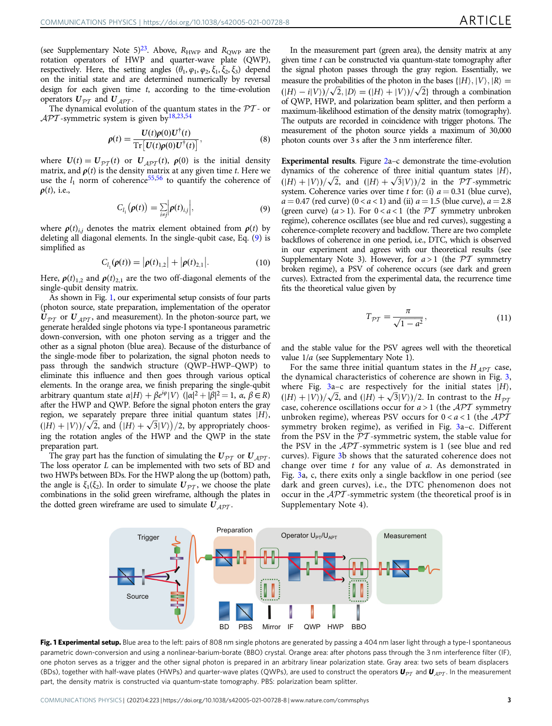<span id="page-2-0"></span>(see Supplementary Note 5)<sup>23</sup>. Above,  $R_{\text{HWP}}$  and  $R_{\text{QWP}}$  are the rotation operators of HWP and quarter-wave plate (QWP), respectively. Here, the setting angles  $(\theta_1, \varphi_1, \varphi_2, \xi_1, \xi_2, \xi_3)$  depend on the initial state and are determined numerically by reversal design for each given time t, according to the time-evolution operators  $U_{\mathcal{DT}}$  and  $U_{\mathcal{ADT}}$ .

The dynamical evolution of the quantum states in the  $PT$ - or  $\mathcal{APT}$ -symmetric system is given by<sup>[18](#page-5-0),[23](#page-5-0),[54](#page-5-0)</sup>

$$
\rho(t) = \frac{U(t)\rho(0)U^{\dagger}(t)}{\mathrm{Tr}\left[U(t)\rho(0)U^{\dagger}(t)\right]},
$$
\n(8)

where  $U(t) = U_{p\tau}(t)$  or  $U_{APT}(t)$ ,  $\rho(0)$  is the initial density matrix, and  $\rho(t)$  is the density matrix at any given time t. Here we use the  $l_1$  norm of coherence<sup>[55,56](#page-5-0)</sup> to quantify the coherence of  $\rho(t)$ , i.e.,

$$
C_{l_1}(\boldsymbol{\rho}(t)) = \sum_{i \neq j} \left| \boldsymbol{\rho}(t)_{i,j} \right|, \tag{9}
$$

where  $\rho(t)_{i,j}$  denotes the matrix element obtained from  $\rho(t)$  by deleting all diagonal elements. In the single-qubit case, Eq. (9) is simplified as

$$
C_{l_1}(\rho(t)) = |\rho(t)_{1,2}| + |\rho(t)_{2,1}|.
$$
 (10)

Here,  $\rho(t)_{1,2}$  and  $\rho(t)_{2,1}$  are the two off-diagonal elements of the single-qubit density matrix.

As shown in Fig. 1, our experimental setup consists of four parts (photon source, state preparation, implementation of the operator  $U_{\mathcal{PT}}$  or  $U_{\mathcal{APT}}$ , and measurement). In the photon-source part, we generate heralded single photons via type-I spontaneous parametric down-conversion, with one photon serving as a trigger and the other as a signal photon (blue area). Because of the disturbance of the single-mode fiber to polarization, the signal photon needs to pass through the sandwich structure (QWP–HWP–QWP) to eliminate this influence and then goes through various optical elements. In the orange area, we finish preparing the single-qubit arbitrary quantum state  $\alpha|H\rangle + \beta e^{i\varphi}|V\rangle \cdot (|\alpha|^2 + |\beta|^2 = 1$ ,  $\alpha, \beta \in R$ ) after the HWP and OWP. Before the signal photon enters the grav after the HWP and QWP. Before the signal photon enters the gray region, we separately prepare three initial quantum states  $|H\rangle$ ,  $\left(\frac{|H\rangle + |V\rangle}{\sqrt{2}}\right)$ , and  $\left(\frac{|H\rangle + \sqrt{3}|V\rangle}{2}\right)$ , by appropriately choos-<br>ing the rotation angles of the HWP and the OWP in the state ing the rotation angles of the HWP and the QWP in the state preparation part.

The gray part has the function of simulating the  $U_{p\tau}$  or  $U_{A\mathcal{PT}}$ . The loss operator  $L$  can be implemented with two sets of BD and two HWPs between BDs. For the HWP along the up (bottom) path, the angle is  $\xi_1(\xi_2)$ . In order to simulate  $U_{\mathcal{PT}}$ , we choose the plate combinations in the solid green wireframe, although the plates in the dotted green wireframe are used to simulate  $U_{APT}$ .

In the measurement part (green area), the density matrix at any given time  $t$  can be constructed via quantum-state tomography after the signal photon passes through the gray region. Essentially, we measure the probabilities of the photon in the bases  $\{|H\rangle, |V\rangle, |R\rangle =$  $(|H\rangle - i|V\rangle)/\sqrt{2}$ ,  $|D\rangle = (|H\rangle + |V\rangle)/\sqrt{2}$  through a combination of OWP. HWP, and polarization beam splitter, and then perform a of QWP, HWP, and polarization beam splitter, and then perform a maximum-likelihood estimation of the density matrix (tomography). The outputs are recorded in coincidence with trigger photons. The measurement of the photon source yields a maximum of 30,000 photon counts over 3 s after the 3 nm interference filter.

Experimental results. Figure [2a](#page-3-0)–c demonstrate the time-evolution dynamics of the coherence of three initial quantum states  $|H\rangle$ ,  $(|H\rangle + |V\rangle)/\sqrt{2}$ , and  $(|H\rangle + \sqrt{3}|V\rangle)/2$  in the *PT*-symmetric system. Coherence varies over time *t* for: (i)  $a = 0.31$  (blue curve). system. Coherence varies over time t for: (i)  $a = 0.31$  (blue curve),  $a = 0.47$  (red curve)  $(0 < a < 1)$  and (ii)  $a = 1.5$  (blue curve),  $a = 2.8$ (green curve)  $(a > 1)$ . For  $0 < a < 1$  (the  $\mathcal{PT}$  symmetry unbroken regime), coherence oscillates (see blue and red curves), suggesting a coherence-complete recovery and backflow. There are two complete backflows of coherence in one period, i.e., DTC, which is observed in our experiment and agrees with our theoretical results (see Supplementary Note 3). However, for  $a > 1$  (the  $\mathcal{PT}$  symmetry broken regime), a PSV of coherence occurs (see dark and green curves). Extracted from the experimental data, the recurrence time fits the theoretical value given by

$$
T_{\mathcal{PT}} = \frac{\pi}{\sqrt{1 - a^2}},\tag{11}
$$

and the stable value for the PSV agrees well with the theoretical value 1/a (see Supplementary Note 1).

For the same three initial quantum states in the  $H_{\mathcal{APT}}$  case, the dynamical characteristics of coherence are shown in Fig. [3,](#page-3-0) where Fig. [3](#page-3-0)a-c are respectively for the initial states  $|H\rangle$ ,  $(|H\rangle + |V\rangle)/\sqrt{2}$ , and  $(|H\rangle + \sqrt{3}|V\rangle)/2$ . In contrast to the  $H_{\mathcal{P}Z}$ <br>case, coherence oscillations occur for  $a > 1$  (the *APT* symmetry case, coherence oscillations occur for  $a > 1$  (the  $APT$  symmetry unbroken regime), whereas PSV occurs for  $0 < a < 1$  (the  $\mathcal{APT}$ symmetry broken regime), as verified in Fig. [3a](#page-3-0)–c. Different from the PSV in the  $PT$ -symmetric system, the stable value for the PSV in the  $\mathcal{APT}$ -symmetric system is 1 (see blue and red curves). Figure [3](#page-3-0)b shows that the saturated coherence does not change over time t for any value of a. As demonstrated in Fig. [3a](#page-3-0), c, there exits only a single backflow in one period (see dark and green curves), i.e., the DTC phenomenon does not occur in the APT -symmetric system (the theoretical proof is in Supplementary Note 4).



Fig. 1 Experimental setup. Blue area to the left: pairs of 808 nm single photons are generated by passing a 404 nm laser light through a type-I spontaneous parametric down-conversion and using a nonlinear-barium-borate (BBO) crystal. Orange area: after photons pass through the 3 nm interference filter (IF), one photon serves as a trigger and the other signal photon is prepared in an arbitrary linear polarization state. Gray area: two sets of beam displacers (BDs), together with half-wave plates (HWPs) and quarter-wave plates (QWPs), are used to construct the operators  $U_{p\tau}$  and  $U_{A p\tau}$ . In the measurement part, the density matrix is constructed via quantum-state tomography. PBS: polarization beam splitter.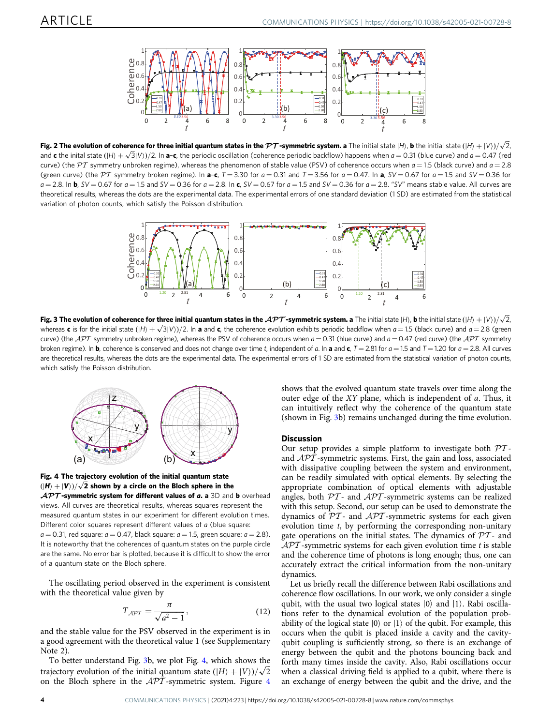<span id="page-3-0"></span>

**Fig. 2 The evolution of coherence for three initial quantum states in the PT-symmetric system. a** The initial state (H), **b** the initial state (IH) + IV))/ $\sqrt{2}$ <br>and **c** the inital state (IH) + . (3IV))/2. In a-c, the p and **c** the inital state (IH) +  $\sqrt{3}$ IV)/2. In **a-c**, the periodic oscillation (coherence periodic backflow) happens when a = 0.31 (blue curve) and a = 0.47 (red<br>curve) (the PT symmetry unbroken regime), whereas the phe curve) (the PT symmetry unbroken regime), whereas the phenomenon of stable value (PSV) of coherence occurs when  $a = 1.5$  (black curve) and  $a = 2.8$ (green curve) (the PT symmetry broken regime). In a-c,  $T = 3.30$  for  $a = 0.31$  and  $T = 3.56$  for  $a = 0.47$ . In a,  $SV = 0.67$  for  $a = 1.5$  and  $SV = 0.36$  for  $a = 2.8$ . In b, SV = 0.67 for  $a = 1.5$  and SV = 0.36 for  $a = 2.8$ . In c, SV = 0.67 for  $a = 1.5$  and SV = 0.36 for  $a = 2.8$ . "SV" means stable value. All curves are theoretical results, whereas the dots are the experimental data. The experimental errors of one standard deviation (1 SD) are estimated from the statistical variation of photon counts, which satisfy the Poisson distribution.



**Fig. 3 The evolution of coherence for three initial quantum states in the APT-symmetric system. a** The initial state  $|H\rangle$ , **b** the initial state  $(|H\rangle + |V\rangle)/\sqrt{2}$ , where  $\alpha$  is a and the coherence evolution exhibits p whereas **c** is for the initial state  $(|H| + \sqrt{3}|V|)/2$ . In **a** and **c**, the coherence evolution exhibits periodic backflow when  $a = 1.5$  (black curve) and  $a = 2.8$  (green<br>curve) (the 477 cummatry unbroken regime) whereas th curve) (the  $\mathcal{APT}$  symmetry unbroken regime), whereas the PSV of coherence occurs when  $a = 0.31$  (blue curve) and  $a = 0.47$  (red curve) (the  $\mathcal{APT}$  symmetry broken regime). In **b**, coherence is conserved and does not change over time t, independent of a. In a and c,  $T = 2.81$  for  $a = 1.5$  and  $T = 1.20$  for  $a = 2.8$ . All curves are theoretical results, whereas the dots are the experimental data. The experimental errors of 1 SD are estimated from the statistical variation of photon counts, which satisfy the Poisson distribution.



Fig. 4 The trajectory evolution of the initial quantum state  $\frac{(\vert H\rangle + \vert V\rangle)/\sqrt{2}}{A\mathcal{D}\mathcal{T}}$  shown by a circle on the Bloch sphere in the  $A\mathcal{D}\mathcal{T}$ -symmetric system for different values of a a 3D and  $\mathcal{APT}$ -symmetric system for different values of a. a 3D and b overhead views. All curves are theoretical results, whereas squares represent the

measured quantum states in our experiment for different evolution times. Different color squares represent different values of a (blue square:  $a = 0.31$ , red square:  $a = 0.47$ , black square:  $a = 1.5$ , green square:  $a = 2.8$ ). It is noteworthy that the coherences of quantum states on the purple circle are the same. No error bar is plotted, because it is difficult to show the error of a quantum state on the Bloch sphere.

The oscillating period observed in the experiment is consistent with the theoretical value given by

$$
T_{\mathcal{APT}} = \frac{\pi}{\sqrt{a^2 - 1}},\tag{12}
$$

and the stable value for the PSV observed in the experiment is in a good agreement with the theoretical value 1 (see Supplementary Note 2).

To better understand Fig. 3b, we plot Fig. 4, which shows the trajectory evolution of the initial quantum state  $(|H\rangle + |V\rangle)/\sqrt{2}$ <br>on the Bloch sphere in the *APT*-symmetric system Figure 4 on the Bloch sphere in the  $\mathcal{APT}$ -symmetric system. Figure 4 shows that the evolved quantum state travels over time along the outer edge of the XY plane, which is independent of a. Thus, it can intuitively reflect why the coherence of the quantum state (shown in Fig. 3b) remains unchanged during the time evolution.

#### **Discussion**

Our setup provides a simple platform to investigate both  $PT$ and  $\mathcal{APT}$ -symmetric systems. First, the gain and loss, associated with dissipative coupling between the system and environment, can be readily simulated with optical elements. By selecting the appropriate combination of optical elements with adjustable angles, both  $PT$ - and  $APT$ -symmetric systems can be realized with this setup. Second, our setup can be used to demonstrate the dynamics of  $PT$ - and  $\mathcal{APT}$ -symmetric systems for each given evolution time t, by performing the corresponding non-unitary gate operations on the initial states. The dynamics of  $PT$ - and  $\mathcal{APT}$ -symmetric systems for each given evolution time t is stable and the coherence time of photons is long enough; thus, one can accurately extract the critical information from the non-unitary dynamics.

Let us briefly recall the difference between Rabi oscillations and coherence flow oscillations. In our work, we only consider a single qubit, with the usual two logical states  $|0\rangle$  and  $|1\rangle$ . Rabi oscillations refer to the dynamical evolution of the population probability of the logical state  $|0\rangle$  or  $|1\rangle$  of the qubit. For example, this occurs when the qubit is placed inside a cavity and the cavityqubit coupling is sufficiently strong, so there is an exchange of energy between the qubit and the photons bouncing back and forth many times inside the cavity. Also, Rabi oscillations occur when a classical driving field is applied to a qubit, where there is an exchange of energy between the qubit and the drive, and the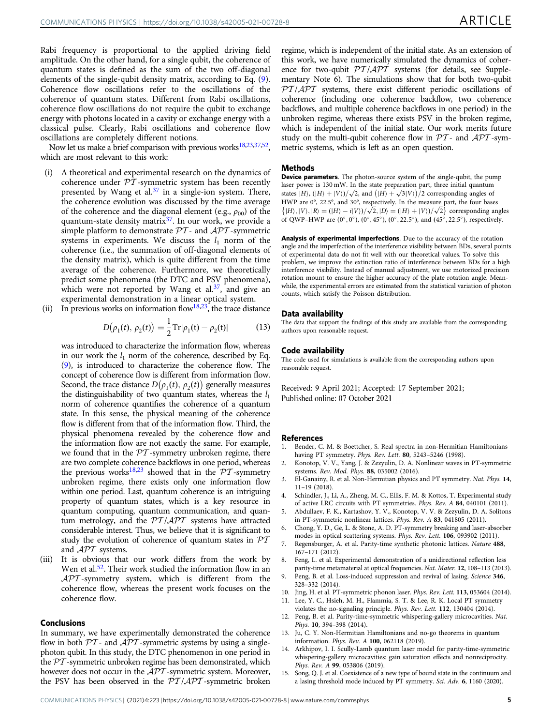<span id="page-4-0"></span>Rabi frequency is proportional to the applied driving field amplitude. On the other hand, for a single qubit, the coherence of quantum states is defined as the sum of the two off-diagonal elements of the single-qubit density matrix, according to Eq. ([9](#page-2-0)). Coherence flow oscillations refer to the oscillations of the coherence of quantum states. Different from Rabi oscillations, coherence flow oscillations do not require the qubit to exchange energy with photons located in a cavity or exchange energy with a classical pulse. Clearly, Rabi oscillations and coherence flow oscillations are completely different notions.

Now let us make a brief comparison with previous works<sup>[18,23,37](#page-5-0),52</sup>. which are most relevant to this work:

- (i) A theoretical and experimental research on the dynamics of coherence under  $\overline{PT}$ -symmetric system has been recently presented by Wang et al.<sup>[37](#page-5-0)</sup> in a single-ion system. There, the coherence evolution was discussed by the time average of the coherence and the diagonal element (e.g.,  $\rho_{00}$ ) of the quantum-state density matrix<sup>[37](#page-5-0)</sup>. In our work, we provide a simple platform to demonstrate  $\mathcal{PT}$ - and  $\mathcal{APT}$ -symmetric systems in experiments. We discuss the  $l_1$  norm of the coherence (i.e., the summation of off-diagonal elements of the density matrix), which is quite different from the time average of the coherence. Furthermore, we theoretically predict some phenomena (the DTC and PSV phenomena), which were not reported by Wang et al. $37$ , and give an experimental demonstration in a linear optical system.
- (ii) In previous works on information flow<sup>18,23</sup>, the trace distance

$$
D(\rho_1(t), \rho_2(t)) = \frac{1}{2} \text{Tr}|\rho_1(t) - \rho_2(t)| \tag{13}
$$

was introduced to characterize the information flow, whereas in our work the  $l_1$  norm of the coherence, described by Eq. [\(9\)](#page-2-0), is introduced to characterize the coherence flow. The concept of coherence flow is different from information flow. Second, the trace distance  $D(\rho_1(t), \rho_2(t))$  generally measures the distinguishability of two quantum states, whereas the  $l_1$ norm of coherence quantifies the coherence of a quantum state. In this sense, the physical meaning of the coherence flow is different from that of the information flow. Third, the physical phenomena revealed by the coherence flow and the information flow are not exactly the same. For example, we found that in the  $PT$ -symmetry unbroken regime, there are two complete coherence backflows in one period, whereas the previous works<sup>18,[23](#page-5-0)</sup> showed that in the  $\mathcal{PT}$ -symmetry unbroken regime, there exists only one information flow within one period. Last, quantum coherence is an intriguing property of quantum states, which is a key resource in quantum computing, quantum communication, and quantum metrology, and the  $PT/APT$  systems have attracted considerable interest. Thus, we believe that it is significant to study the evolution of coherence of quantum states in  $\mathcal{PT}$ and APT systems.

(iii) It is obvious that our work differs from the work by Wen et al.<sup>52</sup>. Their work studied the information flow in an  $\mathcal{APT}$ -symmetry system, which is different from the coherence flow, whereas the present work focuses on the coherence flow.

### Conclusions

In summary, we have experimentally demonstrated the coherence flow in both  $PT$ - and  $APT$ -symmetric systems by using a singlephoton qubit. In this study, the DTC phenomenon in one period in the PT -symmetric unbroken regime has been demonstrated, which however does not occur in the  $\widehat{APT}$ -symmetric system. Moreover, the PSV has been observed in the  $PT/APT$ -symmetric broken

regime, which is independent of the initial state. As an extension of this work, we have numerically simulated the dynamics of coherence for two-qubit  $PT/APT$  systems (for details, see Supplementary Note 6). The simulations show that for both two-qubit  $PT/APT$  systems, there exist different periodic oscillations of coherence (including one coherence backflow, two coherence backflows, and multiple coherence backflows in one period) in the unbroken regime, whereas there exists PSV in the broken regime, which is independent of the initial state. Our work merits future study on the multi-qubit coherence flow in  $PT$ - and  $\mathcal{A}PT$ -symmetric systems, which is left as an open question.

#### Methods

Device parameters. The photon-source system of the single-qubit, the pump laser power is 130 mW. In the state preparation part, three initial quantum states  $|H\rangle$ ,  $(|H\rangle + |V\rangle)/\sqrt{2}$ , and  $(|H\rangle + \sqrt{3}|V\rangle)/2$  corresponding angles of HWP are 0° 22.5° and 30° respectively. In the measure part, the four base HWP are 0°, 22.5°, and 30°, respectively. In the measure part, the four bases  $\{|H\rangle, |V\rangle, |R\rangle = (|H\rangle - i|V\rangle)/\sqrt{2}, |D\rangle = (|H\rangle + |V\rangle)/\sqrt{2}$  corresponding angles<br>of OWP-HWP are (0° 0°) (0° 45°) (0° 22.5°) and (45° 22.5°) respectively of QWP–HWP are  $(0^{\circ}, 0^{\circ})$ ,  $(0^{\circ}, 45^{\circ})$ ,  $(0^{\circ}, 22.5^{\circ})$ , and  $(45^{\circ}, 22.5^{\circ})$ , respectively.

Analysis of experimental imperfections. Due to the accuracy of the rotation angle and the imperfection of the interference visibility between BDs, several points of experimental data do not fit well with our theoretical values. To solve this problem, we improve the extinction ratio of interference between BDs for a high interference visibility. Instead of manual adjustment, we use motorized precision rotation mount to ensure the higher accuracy of the plate rotation angle. Meanwhile, the experimental errors are estimated from the statistical variation of photon counts, which satisfy the Poisson distribution.

#### Data availability

The data that support the findings of this study are available from the corresponding authors upon reasonable request.

#### Code availability

The code used for simulations is available from the corresponding authors upon reasonable request.

Received: 9 April 2021; Accepted: 17 September 2021; Published online: 07 October 2021

#### References

- 1. Bender, C. M. & Boettcher, S. Real spectra in non-Hermitian Hamiltonians having PT symmetry. Phys. Rev. Lett. 80, 5243–5246 (1998).
- 2. Konotop, V. V., Yang, J. & Zezyulin, D. A. Nonlinear waves in PT-symmetric systems. Rev. Mod. Phys. 88, 035002 (2016).
- 3. El-Ganainy, R. et al. Non-Hermitian physics and PT symmetry. Nat. Phys. 14, 11–19 (2018).
- 4. Schindler, J., Li, A., Zheng, M. C., Ellis, F. M. & Kottos, T. Experimental study of active LRC circuits with PT symmetries. Phys. Rev. A 84, 040101 (2011).
- 5. Abdullaev, F. K., Kartashov, Y. V., Konotop, V. V. & Zezyulin, D. A. Solitons in PT-symmetric nonlinear lattices. Phys. Rev. A 83, 041805 (2011).
- 6. Chong, Y. D., Ge, L. & Stone, A. D. PT-symmetry breaking and laser-absorber modes in optical scattering systems. Phys. Rev. Lett. 106, 093902 (2011).
- 7. Regensburger, A. et al. Parity-time synthetic photonic lattices. Nature 488, 167–171 (2012).
- 8. Feng, L. et al. Experimental demonstration of a unidirectional reflection less parity-time metamaterial at optical frequencies. Nat. Mater. 12, 108–113 (2013).
- Peng, B. et al. Loss-induced suppression and revival of lasing. Science 346, 328–332 (2014).
- 10. Jing, H. et al. PT-symmetric phonon laser. Phys. Rev. Lett. 113, 053604 (2014).
- 11. Lee, Y. C., Hsieh, M. H., Flammia, S. T. & Lee, R. K. Local PT symmetry violates the no-signaling principle. Phys. Rev. Lett. 112, 130404 (2014).
- 12. Peng, B. et al. Parity-time-symmetric whispering-gallery microcavities. Nat. Phys. 10, 394–398 (2014).
- 13. Ju, C. Y. Non-Hermitian Hamiltonians and no-go theorems in quantum information. Phys. Rev. A 100, 062118 (2019).
- 14. Arkhipov, I. I. Scully-Lamb quantum laser model for parity-time-symmetric whispering-gallery microcavities: gain saturation effects and nonreciprocity. Phys. Rev. A 99, 053806 (2019).
- 15. Song, Q. J. et al. Coexistence of a new type of bound state in the continuum and a lasing threshold mode induced by PT symmetry. Sci. Adv. 6, 1160 (2020).